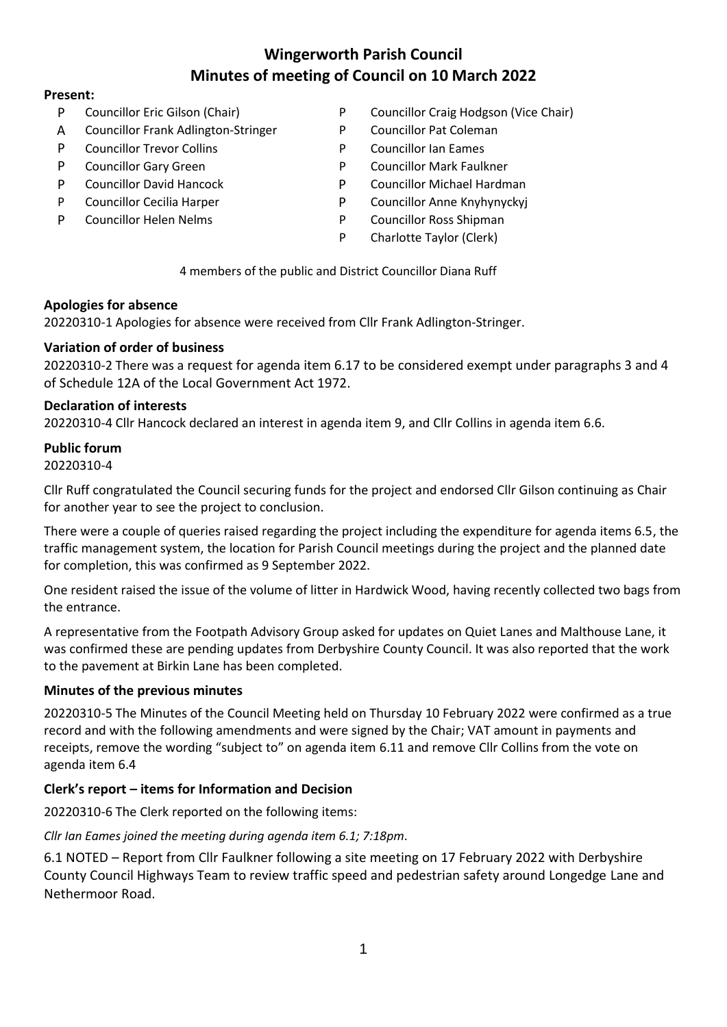# **Wingerworth Parish Council Minutes of meeting of Council on 10 March 2022**

#### **Present:**

- 
- A Councillor Frank Adlington-Stringer P Councillor Pat Coleman
- P Councillor Trevor Collins **P** Councillor Ian Eames
- 
- 
- 
- 
- P Councillor Eric Gilson (Chair) P Councillor Craig Hodgson (Vice Chair)
	-
	-
- P Councillor Gary Green **P** Councillor Mark Faulkner
- P Councillor David Hancock P Councillor Michael Hardman
- P Councillor Cecilia Harper **P** Councillor Anne Knyhynyckyj
- P Councillor Helen Nelms **P** Councillor Ross Shipman
	- P Charlotte Taylor (Clerk)

4 members of the public and District Councillor Diana Ruff

#### **Apologies for absence**

20220310-1 Apologies for absence were received from Cllr Frank Adlington-Stringer.

#### **Variation of order of business**

20220310-2 There was a request for agenda item 6.17 to be considered exempt under paragraphs 3 and 4 of Schedule 12A of the Local Government Act 1972.

#### **Declaration of interests**

20220310-4 Cllr Hancock declared an interest in agenda item 9, and Cllr Collins in agenda item 6.6.

# **Public forum**

20220310-4

Cllr Ruff congratulated the Council securing funds for the project and endorsed Cllr Gilson continuing as Chair for another year to see the project to conclusion.

There were a couple of queries raised regarding the project including the expenditure for agenda items 6.5, the traffic management system, the location for Parish Council meetings during the project and the planned date for completion, this was confirmed as 9 September 2022.

One resident raised the issue of the volume of litter in Hardwick Wood, having recently collected two bags from the entrance.

A representative from the Footpath Advisory Group asked for updates on Quiet Lanes and Malthouse Lane, it was confirmed these are pending updates from Derbyshire County Council. It was also reported that the work to the pavement at Birkin Lane has been completed.

# **Minutes of the previous minutes**

20220310-5 The Minutes of the Council Meeting held on Thursday 10 February 2022 were confirmed as a true record and with the following amendments and were signed by the Chair; VAT amount in payments and receipts, remove the wording "subject to" on agenda item 6.11 and remove Cllr Collins from the vote on agenda item 6.4

# **Clerk's report – items for Information and Decision**

20220310-6 The Clerk reported on the following items:

*Cllr Ian Eames joined the meeting during agenda item 6.1; 7:18pm*.

6.1 NOTED – Report from Cllr Faulkner following a site meeting on 17 February 2022 with Derbyshire County Council Highways Team to review traffic speed and pedestrian safety around Longedge Lane and Nethermoor Road.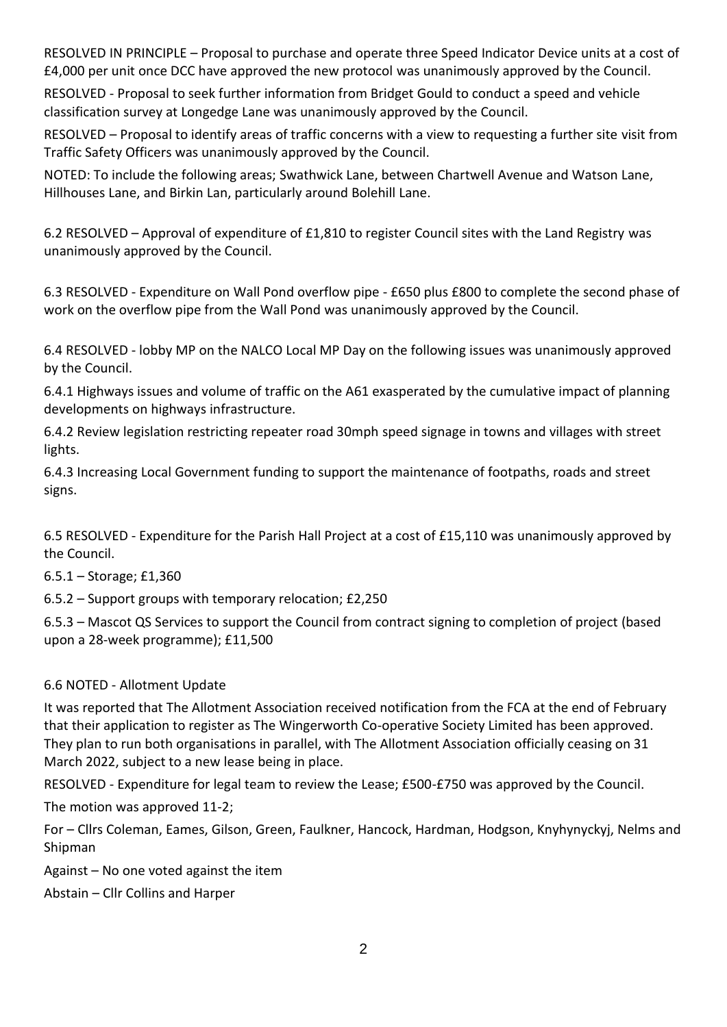RESOLVED IN PRINCIPLE – Proposal to purchase and operate three Speed Indicator Device units at a cost of £4,000 per unit once DCC have approved the new protocol was unanimously approved by the Council.

RESOLVED - Proposal to seek further information from Bridget Gould to conduct a speed and vehicle classification survey at Longedge Lane was unanimously approved by the Council.

RESOLVED – Proposal to identify areas of traffic concerns with a view to requesting a further site visit from Traffic Safety Officers was unanimously approved by the Council.

NOTED: To include the following areas; Swathwick Lane, between Chartwell Avenue and Watson Lane, Hillhouses Lane, and Birkin Lan, particularly around Bolehill Lane.

6.2 RESOLVED – Approval of expenditure of £1,810 to register Council sites with the Land Registry was unanimously approved by the Council.

6.3 RESOLVED - Expenditure on Wall Pond overflow pipe - £650 plus £800 to complete the second phase of work on the overflow pipe from the Wall Pond was unanimously approved by the Council.

6.4 RESOLVED - lobby MP on the NALCO Local MP Day on the following issues was unanimously approved by the Council.

6.4.1 Highways issues and volume of traffic on the A61 exasperated by the cumulative impact of planning developments on highways infrastructure.

6.4.2 Review legislation restricting repeater road 30mph speed signage in towns and villages with street lights.

6.4.3 Increasing Local Government funding to support the maintenance of footpaths, roads and street signs.

6.5 RESOLVED - Expenditure for the Parish Hall Project at a cost of £15,110 was unanimously approved by the Council.

6.5.1 – Storage; £1,360

6.5.2 – Support groups with temporary relocation; £2,250

6.5.3 – Mascot QS Services to support the Council from contract signing to completion of project (based upon a 28-week programme); £11,500

# 6.6 NOTED - Allotment Update

It was reported that The Allotment Association received notification from the FCA at the end of February that their application to register as The Wingerworth Co-operative Society Limited has been approved. They plan to run both organisations in parallel, with The Allotment Association officially ceasing on 31 March 2022, subject to a new lease being in place.

RESOLVED - Expenditure for legal team to review the Lease; £500-£750 was approved by the Council.

The motion was approved 11-2;

For – Cllrs Coleman, Eames, Gilson, Green, Faulkner, Hancock, Hardman, Hodgson, Knyhynyckyj, Nelms and Shipman

Against – No one voted against the item

Abstain – Cllr Collins and Harper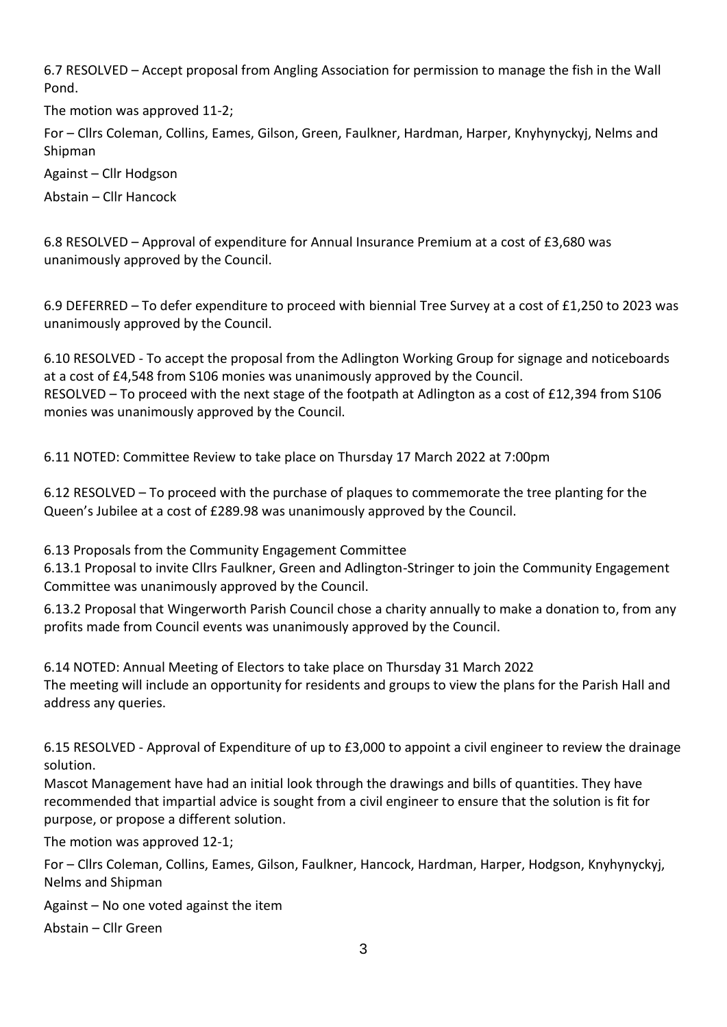6.7 RESOLVED – Accept proposal from Angling Association for permission to manage the fish in the Wall Pond.

The motion was approved 11-2;

For – Cllrs Coleman, Collins, Eames, Gilson, Green, Faulkner, Hardman, Harper, Knyhynyckyj, Nelms and Shipman

Against – Cllr Hodgson

Abstain – Cllr Hancock

6.8 RESOLVED – Approval of expenditure for Annual Insurance Premium at a cost of £3,680 was unanimously approved by the Council.

6.9 DEFERRED – To defer expenditure to proceed with biennial Tree Survey at a cost of £1,250 to 2023 was unanimously approved by the Council.

6.10 RESOLVED - To accept the proposal from the Adlington Working Group for signage and noticeboards at a cost of £4,548 from S106 monies was unanimously approved by the Council. RESOLVED – To proceed with the next stage of the footpath at Adlington as a cost of £12,394 from S106 monies was unanimously approved by the Council.

6.11 NOTED: Committee Review to take place on Thursday 17 March 2022 at 7:00pm

6.12 RESOLVED – To proceed with the purchase of plaques to commemorate the tree planting for the Queen's Jubilee at a cost of £289.98 was unanimously approved by the Council.

6.13 Proposals from the Community Engagement Committee

6.13.1 Proposal to invite Cllrs Faulkner, Green and Adlington-Stringer to join the Community Engagement Committee was unanimously approved by the Council.

6.13.2 Proposal that Wingerworth Parish Council chose a charity annually to make a donation to, from any profits made from Council events was unanimously approved by the Council.

6.14 NOTED: Annual Meeting of Electors to take place on Thursday 31 March 2022 The meeting will include an opportunity for residents and groups to view the plans for the Parish Hall and address any queries.

6.15 RESOLVED - Approval of Expenditure of up to £3,000 to appoint a civil engineer to review the drainage solution.

Mascot Management have had an initial look through the drawings and bills of quantities. They have recommended that impartial advice is sought from a civil engineer to ensure that the solution is fit for purpose, or propose a different solution.

The motion was approved 12-1;

For – Cllrs Coleman, Collins, Eames, Gilson, Faulkner, Hancock, Hardman, Harper, Hodgson, Knyhynyckyj, Nelms and Shipman

Against – No one voted against the item

Abstain – Cllr Green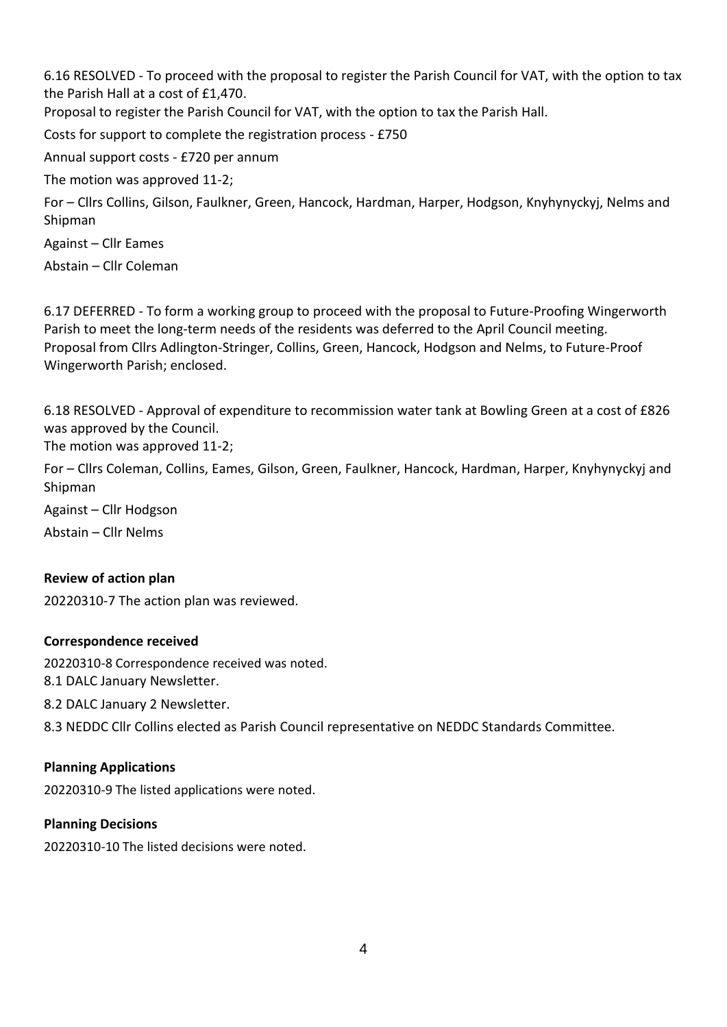6.16 RESOLVED - To proceed with the proposal to register the Parish Council for VAT, with the option to tax the Parish Hall at a cost of £1,470.

Proposal to register the Parish Council for VAT, with the option to tax the Parish Hall.

Costs for support to complete the registration process - £750

Annual support costs - £720 per annum

The motion was approved 11-2;

For – Cllrs Collins, Gilson, Faulkner, Green, Hancock, Hardman, Harper, Hodgson, Knyhynyckyj, Nelms and Shipman

Against – Cllr Eames

Abstain – Cllr Coleman

6.17 DEFERRED - To form a working group to proceed with the proposal to Future-Proofing Wingerworth Parish to meet the long-term needs of the residents was deferred to the April Council meeting. Proposal from Cllrs Adlington-Stringer, Collins, Green, Hancock, Hodgson and Nelms, to Future-Proof Wingerworth Parish; enclosed.

6.18 RESOLVED - Approval of expenditure to recommission water tank at Bowling Green at a cost of £826 was approved by the Council.

The motion was approved 11-2;

For – Cllrs Coleman, Collins, Eames, Gilson, Green, Faulkner, Hancock, Hardman, Harper, Knyhynyckyj and Shipman

Against – Cllr Hodgson

Abstain – Cllr Nelms

# **Review of action plan**

20220310-7 The action plan was reviewed.

#### **Correspondence received**

20220310-8 Correspondence received was noted.

8.1 DALC January Newsletter.

8.2 DALC January 2 Newsletter.

8.3 NEDDC Cllr Collins elected as Parish Council representative on NEDDC Standards Committee.

# **Planning Applications**

20220310-9 The listed applications were noted.

# **Planning Decisions**

20220310-10 The listed decisions were noted.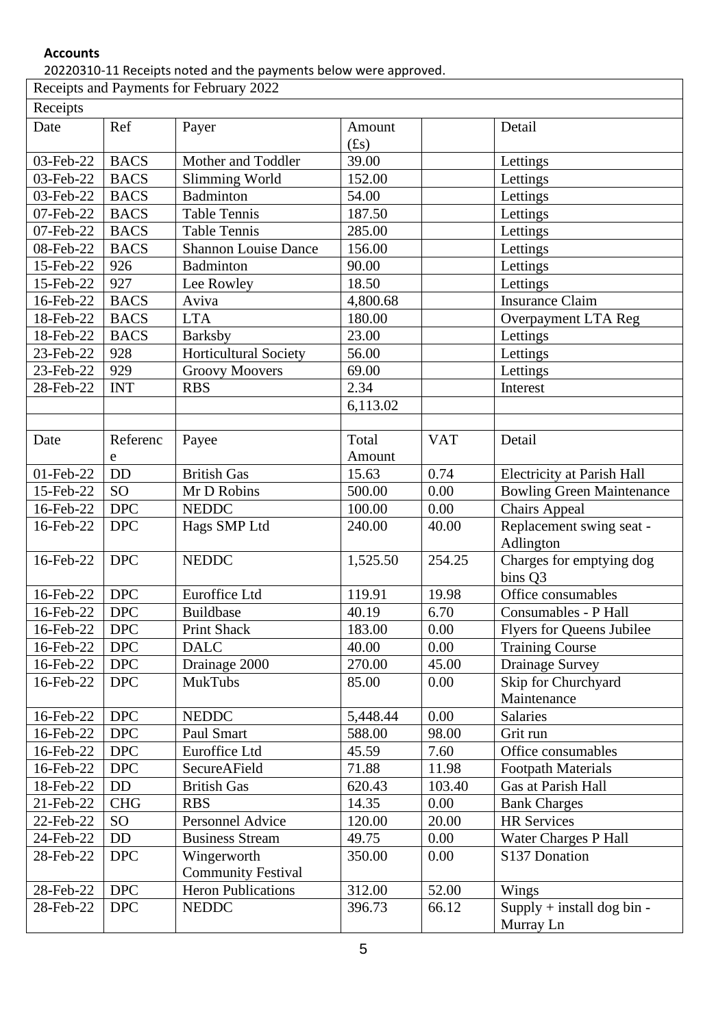# **Accounts**

20220310-11 Receipts noted and the payments below were approved.

| Receipts and Payments for February 2022 |                 |                              |                   |            |                                           |  |  |  |  |
|-----------------------------------------|-----------------|------------------------------|-------------------|------------|-------------------------------------------|--|--|--|--|
| Receipts                                |                 |                              |                   |            |                                           |  |  |  |  |
| Date                                    | Ref             | Payer                        | Amount<br>$(f_s)$ |            | Detail                                    |  |  |  |  |
| 03-Feb-22                               | <b>BACS</b>     | Mother and Toddler           | 39.00             |            | Lettings                                  |  |  |  |  |
| 03-Feb-22                               | <b>BACS</b>     | Slimming World               | 152.00            |            | Lettings                                  |  |  |  |  |
| 03-Feb-22                               | <b>BACS</b>     | Badminton                    | 54.00             |            | Lettings                                  |  |  |  |  |
| 07-Feb-22                               | <b>BACS</b>     | <b>Table Tennis</b>          | 187.50            |            | Lettings                                  |  |  |  |  |
| 07-Feb-22                               | <b>BACS</b>     | <b>Table Tennis</b>          | 285.00            |            | Lettings                                  |  |  |  |  |
| 08-Feb-22                               | <b>BACS</b>     | <b>Shannon Louise Dance</b>  | 156.00            |            | Lettings                                  |  |  |  |  |
| 15-Feb-22                               | 926             | Badminton                    | 90.00             |            | Lettings                                  |  |  |  |  |
| 15-Feb-22                               | 927             | Lee Rowley                   | 18.50             |            | Lettings                                  |  |  |  |  |
| 16-Feb-22                               | <b>BACS</b>     | Aviva                        | 4,800.68          |            | <b>Insurance Claim</b>                    |  |  |  |  |
| 18-Feb-22                               | <b>BACS</b>     | <b>LTA</b>                   | 180.00            |            | Overpayment LTA Reg                       |  |  |  |  |
| 18-Feb-22                               | <b>BACS</b>     | <b>Barksby</b>               | 23.00             |            | Lettings                                  |  |  |  |  |
| 23-Feb-22                               | 928             | <b>Horticultural Society</b> | 56.00             |            | Lettings                                  |  |  |  |  |
| 23-Feb-22                               | 929             | <b>Groovy Moovers</b>        | 69.00             |            | Lettings                                  |  |  |  |  |
| 28-Feb-22                               | <b>INT</b>      | <b>RBS</b>                   | 2.34              |            | Interest                                  |  |  |  |  |
|                                         |                 |                              | 6,113.02          |            |                                           |  |  |  |  |
|                                         |                 |                              |                   |            |                                           |  |  |  |  |
| Date                                    | Referenc        | Payee                        | Total             | <b>VAT</b> | Detail                                    |  |  |  |  |
|                                         | e               |                              | Amount            |            |                                           |  |  |  |  |
| 01-Feb-22                               | <b>DD</b>       | <b>British Gas</b>           | 15.63             | 0.74       | <b>Electricity at Parish Hall</b>         |  |  |  |  |
| 15-Feb-22                               | <b>SO</b>       | Mr D Robins                  | 500.00            | 0.00       | <b>Bowling Green Maintenance</b>          |  |  |  |  |
| 16-Feb-22                               | <b>DPC</b>      | <b>NEDDC</b>                 | 100.00            | 0.00       | Chairs Appeal                             |  |  |  |  |
| 16-Feb-22                               | <b>DPC</b>      | Hags SMP Ltd                 | 240.00            | 40.00      | Replacement swing seat -<br>Adlington     |  |  |  |  |
| 16-Feb-22                               | <b>DPC</b>      | <b>NEDDC</b>                 | 1,525.50          | 254.25     | Charges for emptying dog<br>bins Q3       |  |  |  |  |
| 16-Feb-22                               | <b>DPC</b>      | Euroffice Ltd                | 119.91            | 19.98      | Office consumables                        |  |  |  |  |
| 16-Feb-22                               | <b>DPC</b>      | <b>Buildbase</b>             | 40.19             | 6.70       | Consumables - P Hall                      |  |  |  |  |
| 16-Feb-22                               | <b>DPC</b>      | <b>Print Shack</b>           | 183.00            | 0.00       | <b>Flyers for Queens Jubilee</b>          |  |  |  |  |
| 16-Feb-22                               | <b>DPC</b>      | <b>DALC</b>                  | 40.00             | 0.00       | <b>Training Course</b>                    |  |  |  |  |
| 16-Feb-22                               | <b>DPC</b>      | Drainage 2000                | 270.00            | 45.00      | Drainage Survey                           |  |  |  |  |
| 16-Feb-22                               | <b>DPC</b>      | MukTubs                      | 85.00             | 0.00       | Skip for Churchyard<br>Maintenance        |  |  |  |  |
| 16-Feb-22                               | <b>DPC</b>      | <b>NEDDC</b>                 | 5,448.44          | 0.00       | Salaries                                  |  |  |  |  |
| 16-Feb-22                               | DPC             | Paul Smart                   | 588.00            | 98.00      | Grit run                                  |  |  |  |  |
| 16-Feb-22                               | <b>DPC</b>      | Euroffice Ltd                | 45.59             | 7.60       | Office consumables                        |  |  |  |  |
| 16-Feb-22                               | <b>DPC</b>      | SecureAField                 | 71.88             | 11.98      | <b>Footpath Materials</b>                 |  |  |  |  |
| 18-Feb-22                               | <b>DD</b>       | <b>British Gas</b>           | 620.43            | 103.40     | Gas at Parish Hall                        |  |  |  |  |
| 21-Feb-22                               | <b>CHG</b>      | <b>RBS</b>                   | 14.35             | 0.00       | <b>Bank Charges</b>                       |  |  |  |  |
| 22-Feb-22                               | SO <sub>1</sub> | Personnel Advice             | 120.00            | 20.00      | <b>HR Services</b>                        |  |  |  |  |
| 24-Feb-22                               | DD              | <b>Business Stream</b>       | 49.75             | 0.00       | Water Charges P Hall                      |  |  |  |  |
| 28-Feb-22                               | <b>DPC</b>      | Wingerworth                  | 350.00            | 0.00       | S137 Donation                             |  |  |  |  |
|                                         |                 | <b>Community Festival</b>    |                   |            |                                           |  |  |  |  |
| 28-Feb-22                               | <b>DPC</b>      | <b>Heron Publications</b>    | 312.00            | 52.00      | Wings                                     |  |  |  |  |
| 28-Feb-22                               | <b>DPC</b>      | <b>NEDDC</b>                 | 396.73            | 66.12      | $Supply + install dog bin -$<br>Murray Ln |  |  |  |  |